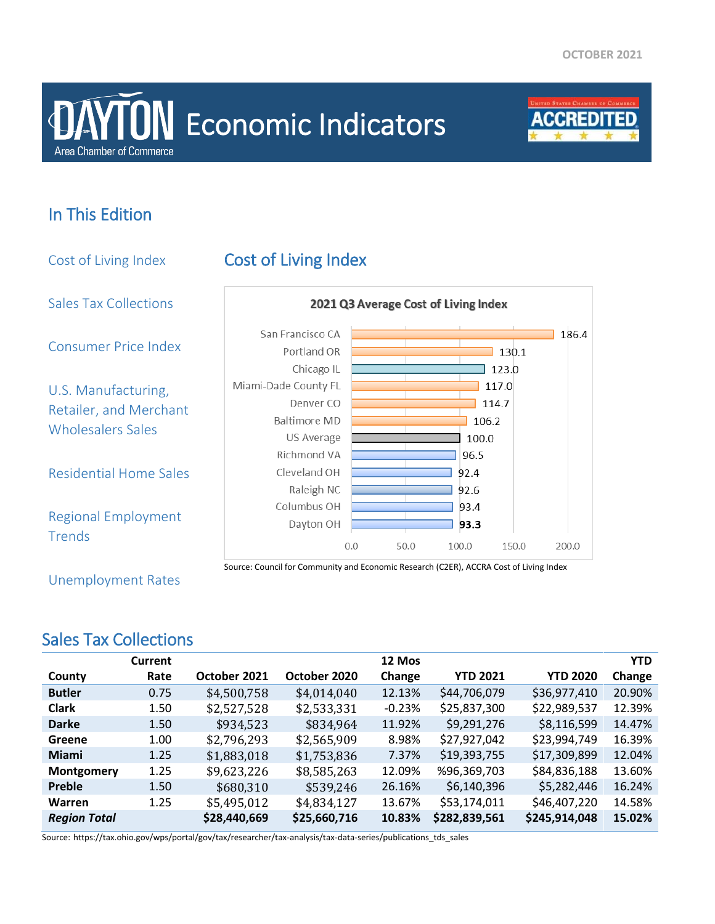# **Area Chamber of Commerce DAYTON** Economic Indicators



## In This Edition

Cost of Living Index Cost of Living Index Sales Tax Collections 2021 Q3 Average Cost of Living Index San Francisco CA  $186.4$ Consumer Price Index Portland OR  $130.1$ Chicago IL  $\overline{\phantom{0}}$  123.0 Miami-Dade County FL  $\overline{1}$  117.0 U.S. Manufacturing, Denver CO  $114.7$ Retailer, and Merchant **Baltimore MD** 106.2 Wholesalers Sales US Average 100.0 Richmond VA 96.5 Residential Home Sales Cleveland OH 92.4 Raleigh NC 92.6 Columbus OH 93.4 Regional Employment Dayton OH 93.3 **Trends**  $0.0$ 50.0 100.0 150.0 200.0 Source: Council for Community and Economic Research (C2ER), ACCRA Cost of Living Index

Unemployment Rates

#### Sales Tax Collections

|                     | <b>Current</b> |              |              | 12 Mos   |                 |                 | <b>YTD</b> |
|---------------------|----------------|--------------|--------------|----------|-----------------|-----------------|------------|
| County              | Rate           | October 2021 | October 2020 | Change   | <b>YTD 2021</b> | <b>YTD 2020</b> | Change     |
| <b>Butler</b>       | 0.75           | \$4,500,758  | \$4,014,040  | 12.13%   | \$44,706,079    | \$36,977,410    | 20.90%     |
| <b>Clark</b>        | 1.50           | \$2,527,528  | \$2,533,331  | $-0.23%$ | \$25,837,300    | \$22,989,537    | 12.39%     |
| <b>Darke</b>        | 1.50           | \$934,523    | \$834,964    | 11.92%   | \$9,291,276     | \$8,116,599     | 14.47%     |
| Greene              | 1.00           | \$2,796,293  | \$2,565,909  | 8.98%    | \$27,927,042    | \$23,994,749    | 16.39%     |
| Miami               | 1.25           | \$1,883,018  | \$1,753,836  | 7.37%    | \$19,393,755    | \$17,309,899    | 12.04%     |
| Montgomery          | 1.25           | \$9,623,226  | \$8,585,263  | 12.09%   | %96,369,703     | \$84,836,188    | 13.60%     |
| <b>Preble</b>       | 1.50           | \$680,310    | \$539,246    | 26.16%   | \$6,140,396     | \$5,282,446     | 16.24%     |
| <b>Warren</b>       | 1.25           | \$5,495,012  | \$4,834,127  | 13.67%   | \$53,174,011    | \$46,407,220    | 14.58%     |
| <b>Region Total</b> |                | \$28,440,669 | \$25,660,716 | 10.83%   | \$282,839,561   | \$245,914,048   | 15.02%     |

Source: https://tax.ohio.gov/wps/portal/gov/tax/researcher/tax-analysis/tax-data-series/publications\_tds\_sales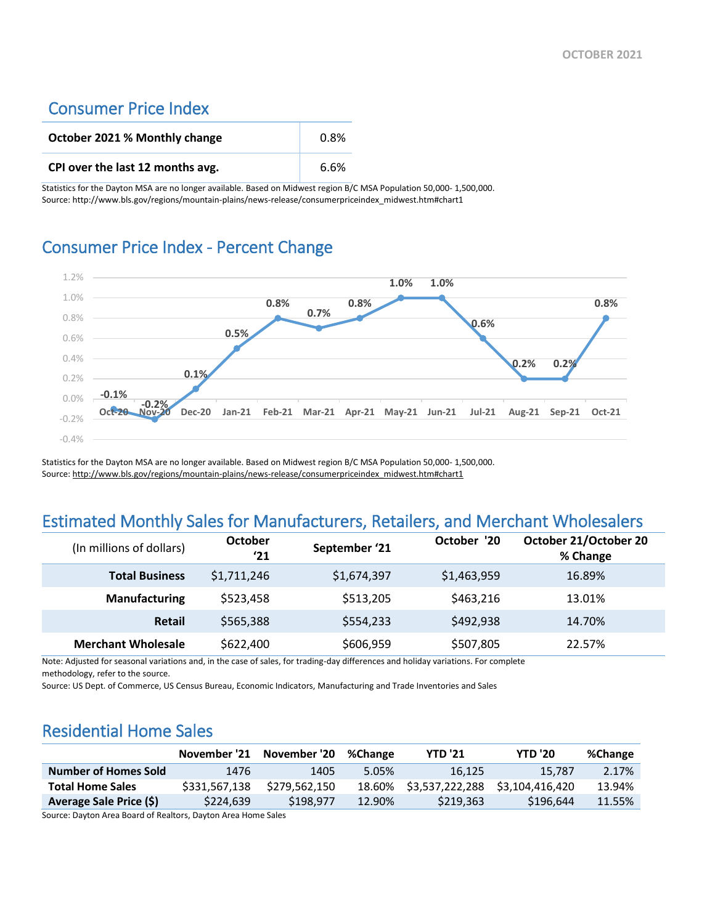#### Consumer Price Index

| October 2021 % Monthly change    | $0.8\%$ |
|----------------------------------|---------|
| CPI over the last 12 months avg. | 6.6%    |

Statistics for the Dayton MSA are no longer available. Based on Midwest region B/C MSA Population 50,000- 1,500,000. Source: http://www.bls.gov/regions/mountain-plains/news-release/consumerpriceindex\_midwest.htm#chart1

#### Consumer Price Index - Percent Change



Statistics for the Dayton MSA are no longer available. Based on Midwest region B/C MSA Population 50,000- 1,500,000. Source[: http://www.bls.gov/regions/mountain-plains/news-release/consumerpriceindex\\_midwest.htm#chart1](http://www.bls.gov/regions/mountain-plains/news-release/consumerpriceindex_midwest.htm#chart1)

#### Estimated Monthly Sales for Manufacturers, Retailers, and Merchant Wholesalers

| (In millions of dollars)  | <b>October</b><br>'21 | September '21 | October '20 | October 21/October 20<br>% Change |
|---------------------------|-----------------------|---------------|-------------|-----------------------------------|
| <b>Total Business</b>     | \$1,711,246           | \$1,674,397   | \$1,463,959 | 16.89%                            |
| <b>Manufacturing</b>      | \$523,458             | \$513,205     | \$463,216   | 13.01%                            |
| Retail                    | \$565,388             | \$554,233     | \$492,938   | 14.70%                            |
| <b>Merchant Wholesale</b> | \$622,400             | \$606,959     | \$507,805   | 22.57%                            |

Note: Adjusted for seasonal variations and, in the case of sales, for trading-day differences and holiday variations. For complete methodology, refer to the source.

Source: US Dept. of Commerce, US Census Bureau, Economic Indicators, Manufacturing and Trade Inventories and Sales

#### Residential Home Sales

|                             |               | November '21 November '20 | %Change | <b>YTD '21</b>  | <b>YTD '20</b>  | %Change |
|-----------------------------|---------------|---------------------------|---------|-----------------|-----------------|---------|
| <b>Number of Homes Sold</b> | 1476          | 1405                      | 5.05%   | 16.125          | 15.787          | 2.17%   |
| <b>Total Home Sales</b>     | \$331,567,138 | \$279.562.150             | 18.60%  | \$3,537,222,288 | \$3.104.416.420 | 13.94%  |
| Average Sale Price (\$)     | \$224.639     | \$198,977                 | 12.90%  | \$219,363       | \$196.644       | 11.55%  |

Source: Dayton Area Board of Realtors, Dayton Area Home Sales